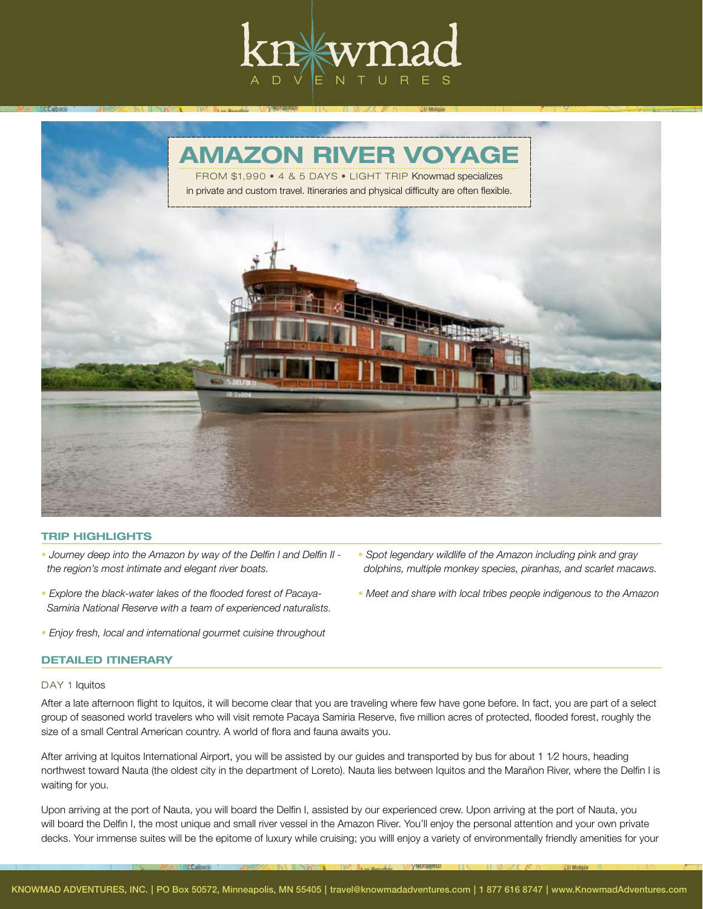



## TRIP HIGHLIGHTS

- *Journey deep into the Amazon by way of the Delfin I and Delfin II the region's most intimate and elegant river boats.*
- *Explore the black-water lakes of the flooded forest of Pacaya- Samiria National Reserve with a team of experienced naturalists.*
- *Enjoy fresh, local and international gourmet cuisine throughout*

#### DETAILED ITINERARY

### DAY 1 Iquitos

After a late afternoon flight to Iquitos, it will become clear that you are traveling where few have gone before. In fact, you are part of a select group of seasoned world travelers who will visit remote Pacaya Samiria Reserve, five million acres of protected, flooded forest, roughly the size of a small Central American country. A world of flora and fauna awaits you.

After arriving at Iquitos International Airport, you will be assisted by our guides and transported by bus for about 1 1⁄2 hours, heading northwest toward Nauta (the oldest city in the department of Loreto). Nauta lies between Iquitos and the Marañon River, where the Delfin I is waiting for you.

Upon arriving at the port of Nauta, you will board the Delfin I, assisted by our experienced crew. Upon arriving at the port of Nauta, you will board the Delfin I, the most unique and small river vessel in the Amazon River. You'll enjoy the personal attention and your own private decks. Your immense suites will be the epitome of luxury while cruising; you willl enjoy a variety of environmentally friendly amenities for your

- *Spot legendary wildlife of the Amazon including pink and gray dolphins, multiple monkey species, piranhas, and scarlet macaws.*
- *Meet and share with local tribes people indigenous to the Amazon*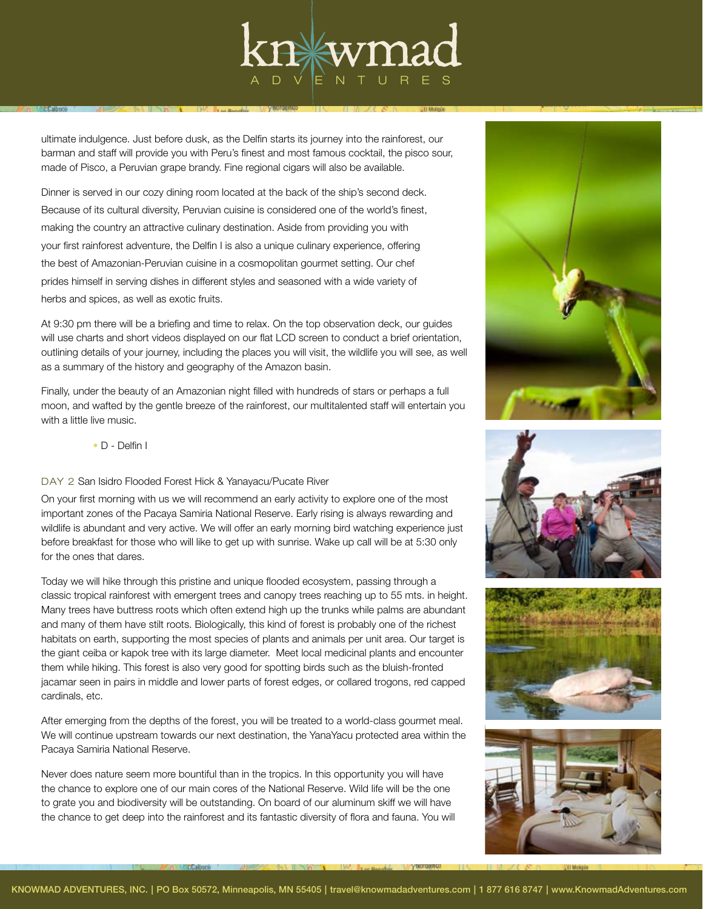

ultimate indulgence. Just before dusk, as the Delfin starts its journey into the rainforest, our barman and staff will provide you with Peru's finest and most famous cocktail, the pisco sour, made of Pisco, a Peruvian grape brandy. Fine regional cigars will also be available.

Dinner is served in our cozy dining room located at the back of the ship's second deck. Because of its cultural diversity, Peruvian cuisine is considered one of the world's finest, making the country an attractive culinary destination. Aside from providing you with your first rainforest adventure, the Delfin I is also a unique culinary experience, offering the best of Amazonian-Peruvian cuisine in a cosmopolitan gourmet setting. Our chef prides himself in serving dishes in different styles and seasoned with a wide variety of herbs and spices, as well as exotic fruits.

At 9:30 pm there will be a briefing and time to relax. On the top observation deck, our guides will use charts and short videos displayed on our flat LCD screen to conduct a brief orientation, outlining details of your journey, including the places you will visit, the wildlife you will see, as well as a summary of the history and geography of the Amazon basin.

Finally, under the beauty of an Amazonian night filled with hundreds of stars or perhaps a full moon, and wafted by the gentle breeze of the rainforest, our multitalented staff will entertain you with a little live music.

• D - Delfin I

# DAY 2 San Isidro Flooded Forest Hick & Yanayacu/Pucate River

On your first morning with us we will recommend an early activity to explore one of the most important zones of the Pacaya Samiria National Reserve. Early rising is always rewarding and wildlife is abundant and very active. We will offer an early morning bird watching experience just before breakfast for those who will like to get up with sunrise. Wake up call will be at 5:30 only for the ones that dares.

Today we will hike through this pristine and unique flooded ecosystem, passing through a classic tropical rainforest with emergent trees and canopy trees reaching up to 55 mts. in height. Many trees have buttress roots which often extend high up the trunks while palms are abundant and many of them have stilt roots. Biologically, this kind of forest is probably one of the richest habitats on earth, supporting the most species of plants and animals per unit area. Our target is the giant ceiba or kapok tree with its large diameter. Meet local medicinal plants and encounter them while hiking. This forest is also very good for spotting birds such as the bluish-fronted jacamar seen in pairs in middle and lower parts of forest edges, or collared trogons, red capped cardinals, etc.

After emerging from the depths of the forest, you will be treated to a world-class gourmet meal. We will continue upstream towards our next destination, the YanaYacu protected area within the Pacaya Samiria National Reserve.

Never does nature seem more bountiful than in the tropics. In this opportunity you will have the chance to explore one of our main cores of the National Reserve. Wild life will be the one to grate you and biodiversity will be outstanding. On board of our aluminum skiff we will have the chance to get deep into the rainforest and its fantastic diversity of flora and fauna. You will







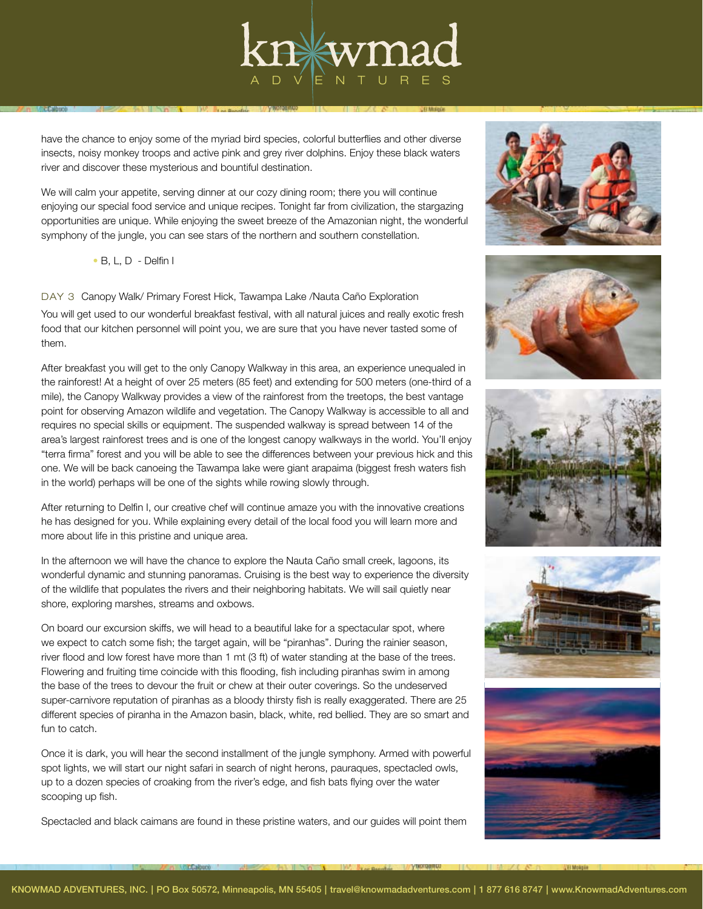

have the chance to enjoy some of the myriad bird species, colorful butterflies and other diverse insects, noisy monkey troops and active pink and grey river dolphins. Enjoy these black waters river and discover these mysterious and bountiful destination.

We will calm your appetite, serving dinner at our cozy dining room; there you will continue enjoying our special food service and unique recipes. Tonight far from civilization, the stargazing opportunities are unique. While enjoying the sweet breeze of the Amazonian night, the wonderful symphony of the jungle, you can see stars of the northern and southern constellation.

• B, L, D - Delfin I

# DAY 3 Canopy Walk/ Primary Forest Hick, Tawampa Lake /Nauta Caño Exploration

You will get used to our wonderful breakfast festival, with all natural juices and really exotic fresh food that our kitchen personnel will point you, we are sure that you have never tasted some of them.

After breakfast you will get to the only Canopy Walkway in this area, an experience unequaled in the rainforest! At a height of over 25 meters (85 feet) and extending for 500 meters (one-third of a mile), the Canopy Walkway provides a view of the rainforest from the treetops, the best vantage point for observing Amazon wildlife and vegetation. The Canopy Walkway is accessible to all and requires no special skills or equipment. The suspended walkway is spread between 14 of the area's largest rainforest trees and is one of the longest canopy walkways in the world. You'll enjoy "terra firma" forest and you will be able to see the differences between your previous hick and this one. We will be back canoeing the Tawampa lake were giant arapaima (biggest fresh waters fish in the world) perhaps will be one of the sights while rowing slowly through.

After returning to Delfin I, our creative chef will continue amaze you with the innovative creations he has designed for you. While explaining every detail of the local food you will learn more and more about life in this pristine and unique area.

In the afternoon we will have the chance to explore the Nauta Caño small creek, lagoons, its wonderful dynamic and stunning panoramas. Cruising is the best way to experience the diversity of the wildlife that populates the rivers and their neighboring habitats. We will sail quietly near shore, exploring marshes, streams and oxbows.

On board our excursion skiffs, we will head to a beautiful lake for a spectacular spot, where we expect to catch some fish; the target again, will be "piranhas". During the rainier season, river flood and low forest have more than 1 mt (3 ft) of water standing at the base of the trees. Flowering and fruiting time coincide with this flooding, fish including piranhas swim in among the base of the trees to devour the fruit or chew at their outer coverings. So the undeserved super-carnivore reputation of piranhas as a bloody thirsty fish is really exaggerated. There are 25 different species of piranha in the Amazon basin, black, white, red bellied. They are so smart and fun to catch.

Once it is dark, you will hear the second installment of the jungle symphony. Armed with powerful spot lights, we will start our night safari in search of night herons, pauraques, spectacled owls, up to a dozen species of croaking from the river's edge, and fish bats flying over the water scooping up fish.

Spectacled and black caimans are found in these pristine waters, and our guides will point them









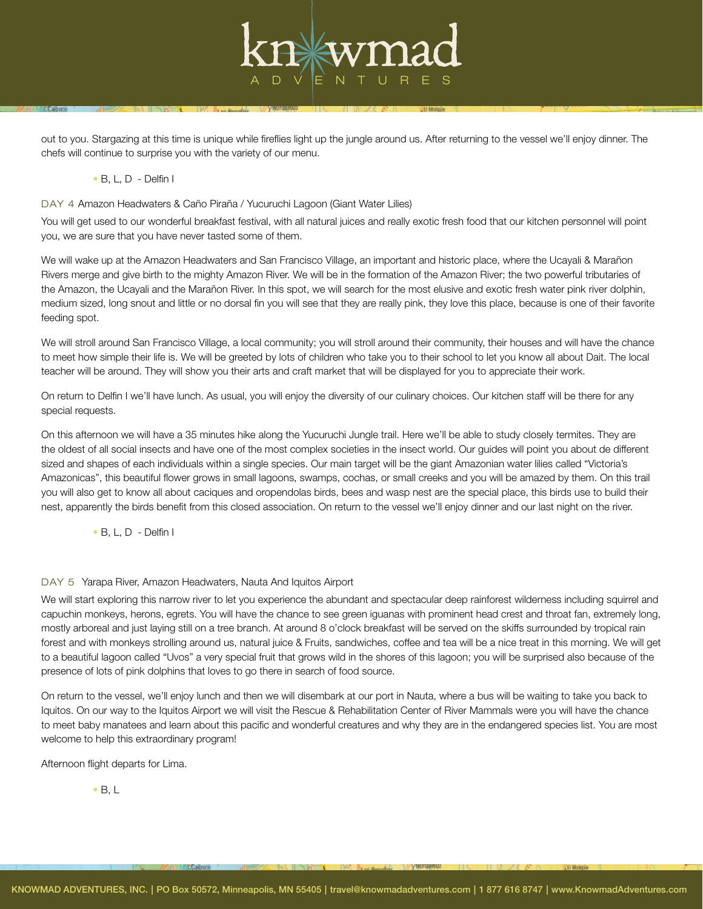

out to you. Stargazing at this time is unique while fireflies light up the jungle around us. After returning to the vessel we'll enjoy dinner. The chefs will continue to surprise you with the variety of our menu.

## • B, L, D - Delfin I

DAY 4 Amazon Headwaters & Caño Piraña / Yucuruchi Lagoon (Giant Water Lilies)

You will get used to our wonderful breakfast festival, with all natural juices and really exotic fresh food that our kitchen personnel will point you, we are sure that you have never tasted some of them.

We will wake up at the Amazon Headwaters and San Francisco Village, an important and historic place, where the Ucayali & Marañon Rivers merge and give birth to the mighty Amazon River. We will be in the formation of the Amazon River; the two powerful tributaries of the Amazon, the Ucayali and the Marañon River. In this spot, we will search for the most elusive and exotic fresh water pink river dolphin, medium sized, long snout and little or no dorsal fin you will see that they are really pink, they love this place, because is one of their favorite feeding spot.

We will stroll around San Francisco Village, a local community; you will stroll around their community, their houses and will have the chance to meet how simple their life is. We will be greeted by lots of children who take you to their school to let you know all about Dait. The local teacher will be around. They will show you their arts and craft market that will be displayed for you to appreciate their work.

On return to Delfin I we'll have lunch. As usual, you will enjoy the diversity of our culinary choices. Our kitchen staff will be there for any special requests.

On this afternoon we will have a 35 minutes hike along the Yucuruchi Jungle trail. Here we'll be able to study closely termites. They are the oldest of all social insects and have one of the most complex societies in the insect world. Our guides will point you about de different sized and shapes of each individuals within a single species. Our main target will be the giant Amazonian water lilies called "Victoria's Amazonicas", this beautiful flower grows in small lagoons, swamps, cochas, or small creeks and you will be amazed by them. On this trail you will also get to know all about caciques and oropendolas birds, bees and wasp nest are the special place, this birds use to build their nest, apparently the birds benefit from this closed association. On return to the vessel we'll enjoy dinner and our last night on the river.

• B, L, D - Delfin I

# DAY 5 Yarapa River, Amazon Headwaters, Nauta And Iquitos Airport

We will start exploring this narrow river to let you experience the abundant and spectacular deep rainforest wilderness including squirrel and capuchin monkeys, herons, egrets. You will have the chance to see green iguanas with prominent head crest and throat fan, extremely long, mostly arboreal and just laying still on a tree branch. At around 8 o'clock breakfast will be served on the skiffs surrounded by tropical rain forest and with monkeys strolling around us, natural juice & Fruits, sandwiches, coffee and tea will be a nice treat in this morning. We will get to a beautiful lagoon called "Uvos" a very special fruit that grows wild in the shores of this lagoon; you will be surprised also because of the presence of lots of pink dolphins that loves to go there in search of food source.

On return to the vessel, we'll enjoy lunch and then we will disembark at our port in Nauta, where a bus will be waiting to take you back to Iquitos. On our way to the Iquitos Airport we will visit the Rescue & Rehabilitation Center of River Mammals were you will have the chance to meet baby manatees and learn about this pacific and wonderful creatures and why they are in the endangered species list. You are most welcome to help this extraordinary program!

Afternoon flight departs for Lima.

• B, L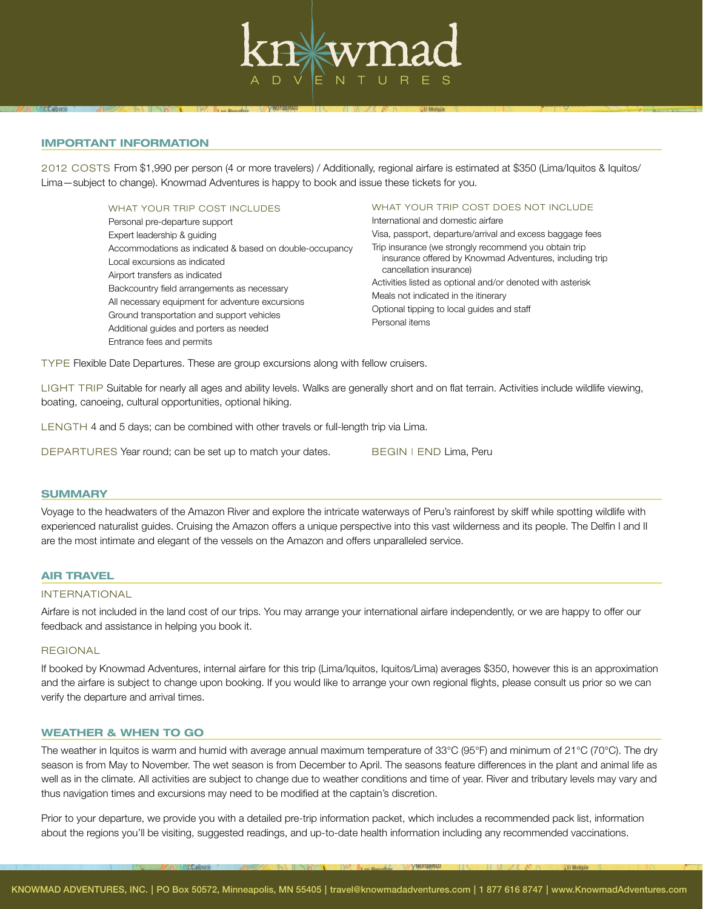

## IMPORTANT INFORMATION

2012 COSTS From \$1,990 per person (4 or more travelers) / Additionally, regional airfare is estimated at \$350 (Lima/Iquitos & Iquitos/ Lima—subject to change). Knowmad Adventures is happy to book and issue these tickets for you.

> WHAT YOUR TRIP COST INCLUDES Personal pre-departure support Expert leadership & guiding Accommodations as indicated & based on double-occupancy Local excursions as indicated Airport transfers as indicated Backcountry field arrangements as necessary All necessary equipment for adventure excursions Ground transportation and support vehicles Additional guides and porters as needed Entrance fees and permits

WHAT YOUR TRIP COST DOES NOT INCLUDE International and domestic airfare

Visa, passport, departure/arrival and excess baggage fees Trip insurance (we strongly recommend you obtain trip insurance offered by Knowmad Adventures, including trip cancellation insurance) Activities listed as optional and/or denoted with asterisk Meals not indicated in the itinerary Optional tipping to local guides and staff Personal items

TYPE Flexible Date Departures. These are group excursions along with fellow cruisers.

LIGHT TRIP Suitable for nearly all ages and ability levels. Walks are generally short and on flat terrain. Activities include wildlife viewing, boating, canoeing, cultural opportunities, optional hiking.

LENGTH 4 and 5 days; can be combined with other travels or full-length trip via Lima.

DEPARTURES Year round; can be set up to match your dates. BEGIN | END Lima, Peru

#### **SUMMARY**

Voyage to the headwaters of the Amazon River and explore the intricate waterways of Peru's rainforest by skiff while spotting wildlife with experienced naturalist guides. Cruising the Amazon offers a unique perspective into this vast wilderness and its people. The Delfin I and II are the most intimate and elegant of the vessels on the Amazon and offers unparalleled service.

### AIR TRAVEL

## INTERNATIONAL

Airfare is not included in the land cost of our trips. You may arrange your international airfare independently, or we are happy to offer our feedback and assistance in helping you book it.

#### **REGIONAL**

If booked by Knowmad Adventures, internal airfare for this trip (Lima/Iquitos, Iquitos/Lima) averages \$350, however this is an approximation and the airfare is subject to change upon booking. If you would like to arrange your own regional flights, please consult us prior so we can verify the departure and arrival times.

#### WEATHER & WHEN TO GO

The weather in Iquitos is warm and humid with average annual maximum temperature of 33°C (95°F) and minimum of 21°C (70°C). The dry season is from May to November. The wet season is from December to April. The seasons feature differences in the plant and animal life as well as in the climate. All activities are subject to change due to weather conditions and time of year. River and tributary levels may vary and thus navigation times and excursions may need to be modified at the captain's discretion.

Prior to your departure, we provide you with a detailed pre-trip information packet, which includes a recommended pack list, information about the regions you'll be visiting, suggested readings, and up-to-date health information including any recommended vaccinations.